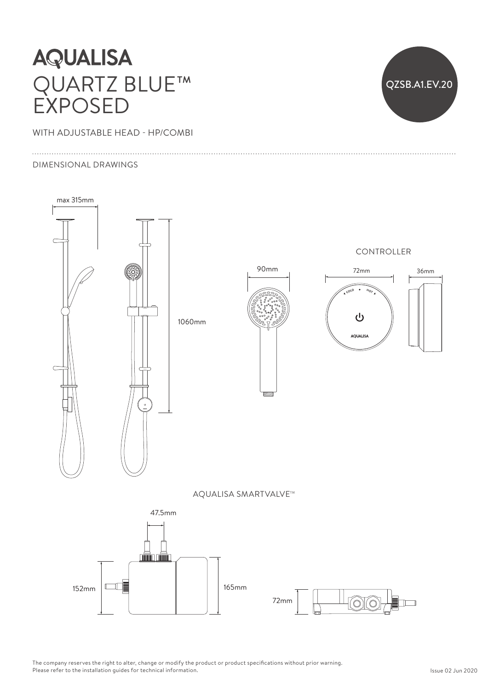## **AQUALISA** QUARTZ BLUE™ EXPOSED

WITH ADJUSTABLE HEAD - HP/COMBI

#### DIMENSIONAL DRAWINGS



QZSB.A1.EV.20